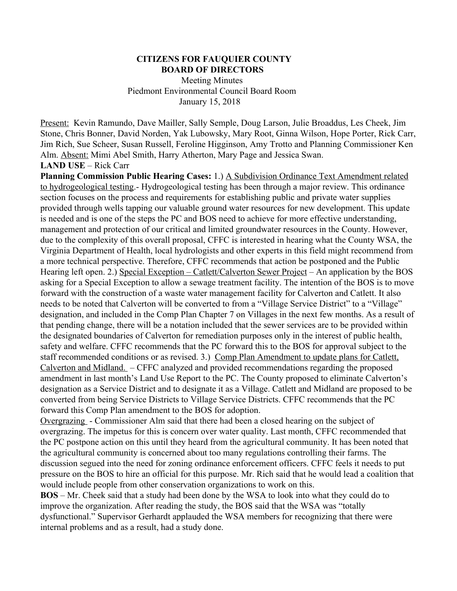#### **CITIZENS FOR FAUQUIER COUNTY BOARD OF DIRECTORS**

 Meeting Minutes Piedmont Environmental Council Board Room January 15, 2018

Present: Kevin Ramundo, Dave Mailler, Sally Semple, Doug Larson, Julie Broaddus, Les Cheek, Jim Stone, Chris Bonner, David Norden, Yak Lubowsky, Mary Root, Ginna Wilson, Hope Porter, Rick Carr, Jim Rich, Sue Scheer, Susan Russell, Feroline Higginson, Amy Trotto and Planning Commissioner Ken Alm. Absent: Mimi Abel Smith, Harry Atherton, Mary Page and Jessica Swan.

**LAND USE** – Rick Carr

**Planning Commission Public Hearing Cases:** 1.) A Subdivision Ordinance Text Amendment related to hydrogeological testing.- Hydrogeological testing has been through a major review. This ordinance section focuses on the process and requirements for establishing public and private water supplies provided through wells tapping our valuable ground water resources for new development. This update is needed and is one of the steps the PC and BOS need to achieve for more effective understanding, management and protection of our critical and limited groundwater resources in the County. However, due to the complexity of this overall proposal, CFFC is interested in hearing what the County WSA, the Virginia Department of Health, local hydrologists and other experts in this field might recommend from a more technical perspective. Therefore, CFFC recommends that action be postponed and the Public Hearing left open. 2.) Special Exception – Catlett/Calverton Sewer Project – An application by the BOS asking for a Special Exception to allow a sewage treatment facility. The intention of the BOS is to move forward with the construction of a waste water management facility for Calverton and Catlett. It also needs to be noted that Calverton will be converted to from a "Village Service District" to a "Village" designation, and included in the Comp Plan Chapter 7 on Villages in the next few months. As a result of that pending change, there will be a notation included that the sewer services are to be provided within the designated boundaries of Calverton for remediation purposes only in the interest of public health, safety and welfare. CFFC recommends that the PC forward this to the BOS for approval subject to the staff recommended conditions or as revised. 3.) Comp Plan Amendment to update plans for Catlett, Calverton and Midland. – CFFC analyzed and provided recommendations regarding the proposed amendment in last month's Land Use Report to the PC. The County proposed to eliminate Calverton's designation as a Service District and to designate it as a Village. Catlett and Midland are proposed to be converted from being Service Districts to Village Service Districts. CFFC recommends that the PC forward this Comp Plan amendment to the BOS for adoption.

Overgrazing - Commissioner Alm said that there had been a closed hearing on the subject of overgrazing. The impetus for this is concern over water quality. Last month, CFFC recommended that the PC postpone action on this until they heard from the agricultural community. It has been noted that the agricultural community is concerned about too many regulations controlling their farms. The discussion segued into the need for zoning ordinance enforcement officers. CFFC feels it needs to put pressure on the BOS to hire an official for this purpose. Mr. Rich said that he would lead a coalition that would include people from other conservation organizations to work on this.

**BOS** – Mr. Cheek said that a study had been done by the WSA to look into what they could do to improve the organization. After reading the study, the BOS said that the WSA was "totally dysfunctional." Supervisor Gerhardt applauded the WSA members for recognizing that there were internal problems and as a result, had a study done.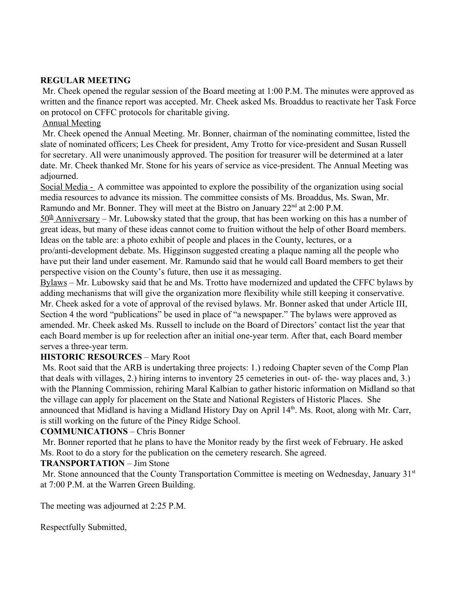## **REGULAR MEETING**

 Mr. Cheek opened the regular session of the Board meeting at 1:00 P.M. The minutes were approved as written and the finance report was accepted. Mr. Cheek asked Ms. Broaddus to reactivate her Task Force on protocol on CFFC protocols for charitable giving.

### Annual Meeting

 Mr. Cheek opened the Annual Meeting. Mr. Bonner, chairman of the nominating committee, listed the slate of nominated officers; Les Cheek for president, Amy Trotto for vice-president and Susan Russell for secretary. All were unanimously approved. The position for treasurer will be determined at a later date. Mr. Cheek thanked Mr. Stone for his years of service as vice-president. The Annual Meeting was adjourned.

Social Media - A committee was appointed to explore the possibility of the organization using social media resources to advance its mission. The committee consists of Ms. Broaddus, Ms. Swan, Mr. Ramundo and Mr. Bonner. They will meet at the Bistro on January 22<sup>nd</sup> at 2:00 P.M.

 $50<sup>th</sup>$  Anniversary – Mr. Lubowsky stated that the group, that has been working on this has a number of great ideas, but many of these ideas cannot come to fruition without the help of other Board members. Ideas on the table are: a photo exhibit of people and places in the County, lectures, or a

pro/anti-development debate. Ms. Higginson suggested creating a plaque naming all the people who have put their land under easement. Mr. Ramundo said that he would call Board members to get their perspective vision on the County's future, then use it as messaging.

Bylaws – Mr. Lubowsky said that he and Ms. Trotto have modernized and updated the CFFC bylaws by adding mechanisms that will give the organization more flexibility while still keeping it conservative. Mr. Cheek asked for a vote of approval of the revised bylaws. Mr. Bonner asked that under Article III, Section 4 the word "publications" be used in place of "a newspaper." The bylaws were approved as amended. Mr. Cheek asked Ms. Russell to include on the Board of Directors' contact list the year that each Board member is up for reelection after an initial one-year term. After that, each Board member serves a three-year term.

### **HISTORIC RESOURCES** – Mary Root

 Ms. Root said that the ARB is undertaking three projects: 1.) redoing Chapter seven of the Comp Plan that deals with villages, 2.) hiring interns to inventory 25 cemeteries in out- of- the- way places and, 3.) with the Planning Commission, rehiring Maral Kalbian to gather historic information on Midland so that the village can apply for placement on the State and National Registers of Historic Places. She announced that Midland is having a Midland History Day on April 14<sup>th</sup>. Ms. Root, along with Mr. Carr, is still working on the future of the Piney Ridge School.

### **COMMUNICATIONS** – Chris Bonner

 Mr. Bonner reported that he plans to have the Monitor ready by the first week of February. He asked Ms. Root to do a story for the publication on the cemetery research. She agreed.

# **TRANSPORTATION** – Jim Stone

Mr. Stone announced that the County Transportation Committee is meeting on Wednesday, January 31<sup>st</sup> at 7:00 P.M. at the Warren Green Building.

The meeting was adjourned at 2:25 P.M.

Respectfully Submitted,